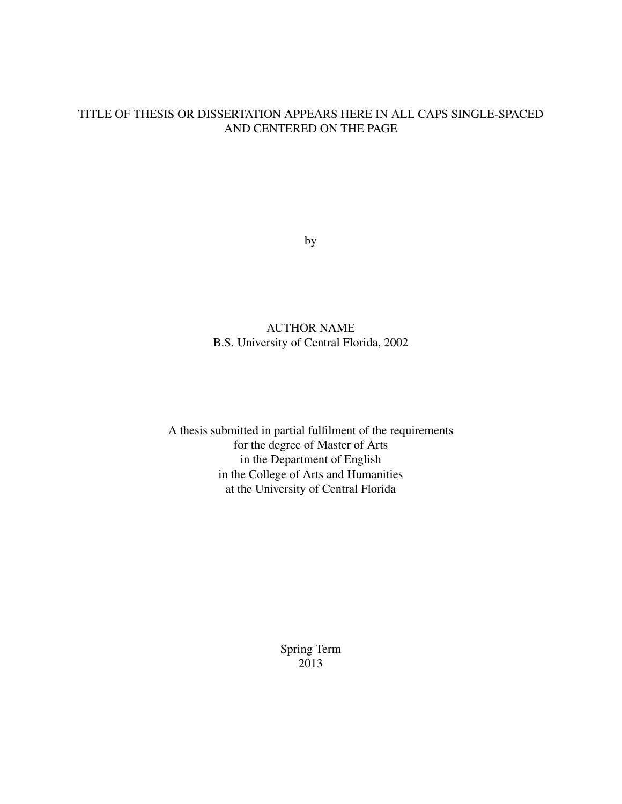### TITLE OF THESIS OR DISSERTATION APPEARS HERE IN ALL CAPS SINGLE-SPACED AND CENTERED ON THE PAGE

by

### AUTHOR NAME B.S. University of Central Florida, 2002

A thesis submitted in partial fulfilment of the requirements for the degree of Master of Arts in the Department of English in the College of Arts and Humanities at the University of Central Florida

> Spring Term 2013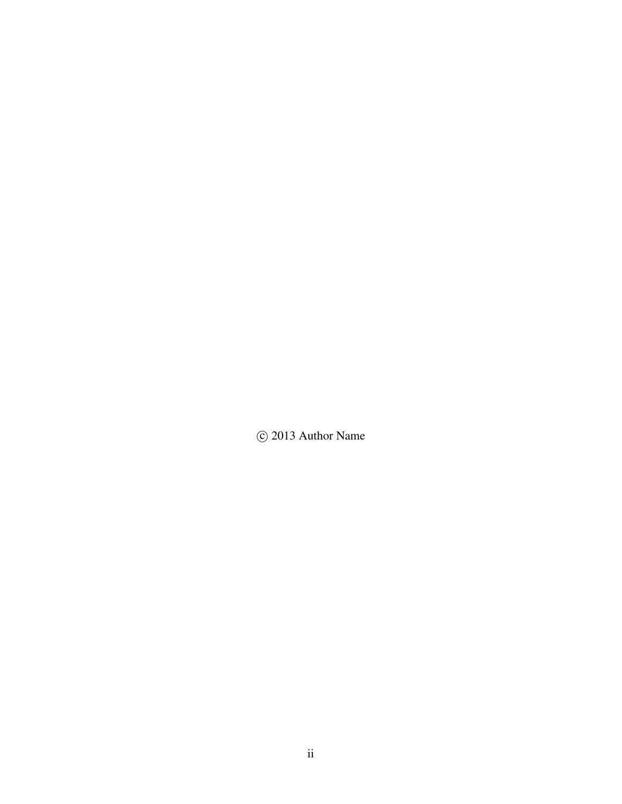C 2013 Author Name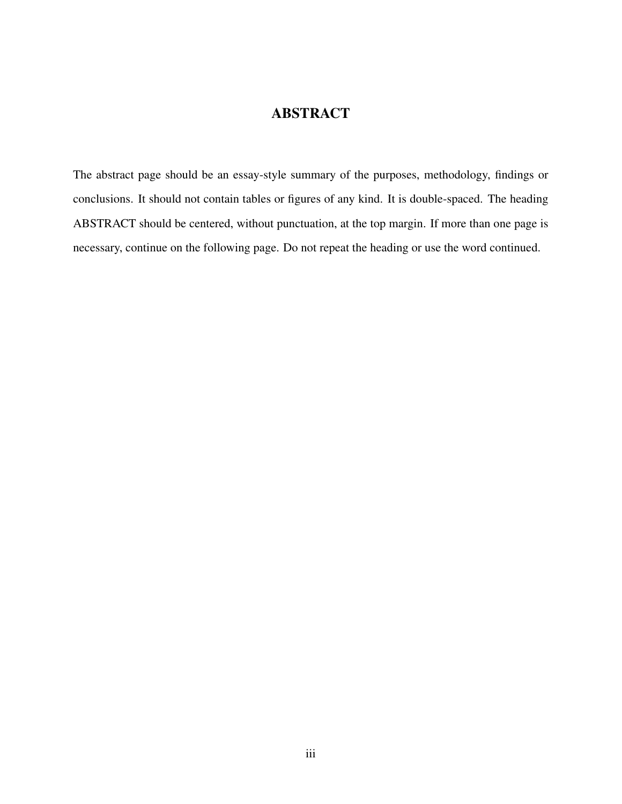## **ABSTRACT**

The abstract page should be an essay-style summary of the purposes, methodology, findings or conclusions. It should not contain tables or figures of any kind. It is double-spaced. The heading ABSTRACT should be centered, without punctuation, at the top margin. If more than one page is necessary, continue on the following page. Do not repeat the heading or use the word continued.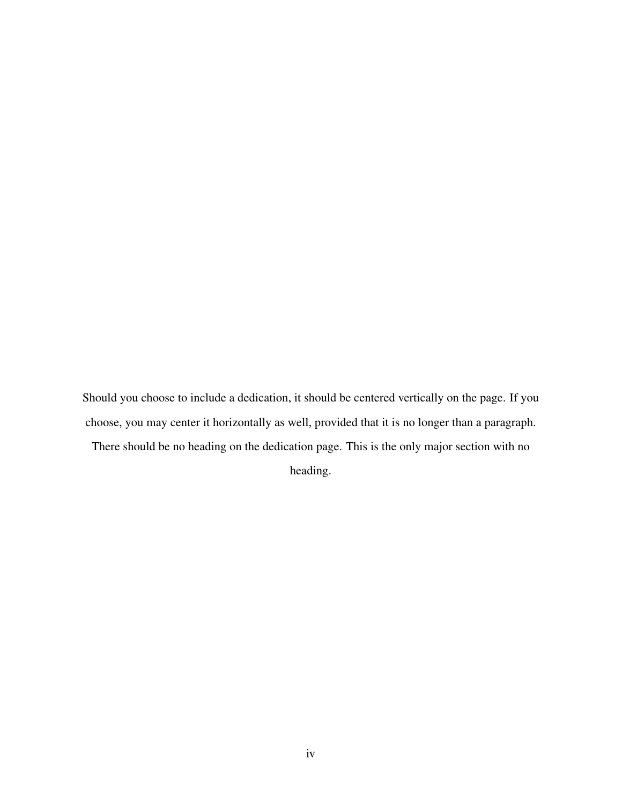Should you choose to include a dedication, it should be centered vertically on the page. If you choose, you may center it horizontally as well, provided that it is no longer than a paragraph. There should be no heading on the dedication page. This is the only major section with no heading.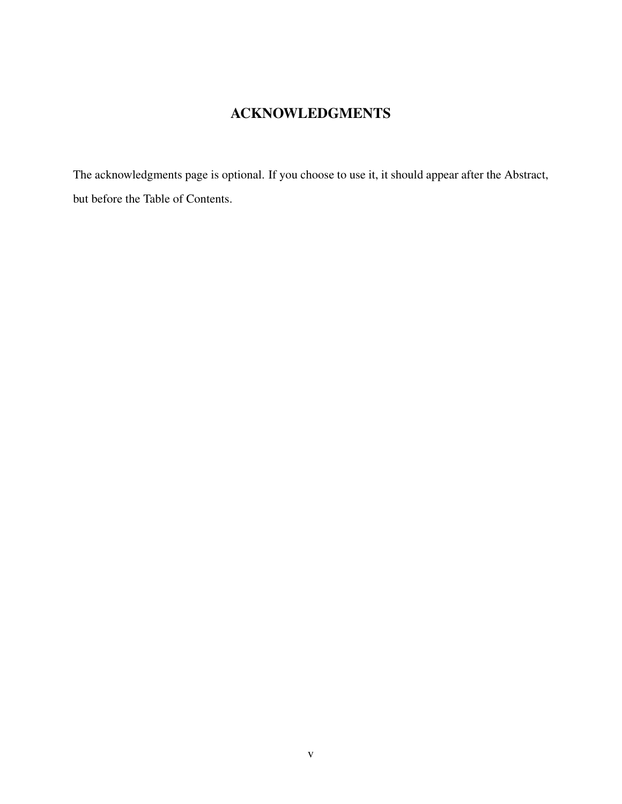## ACKNOWLEDGMENTS

The acknowledgments page is optional. If you choose to use it, it should appear after the Abstract, but before the Table of Contents.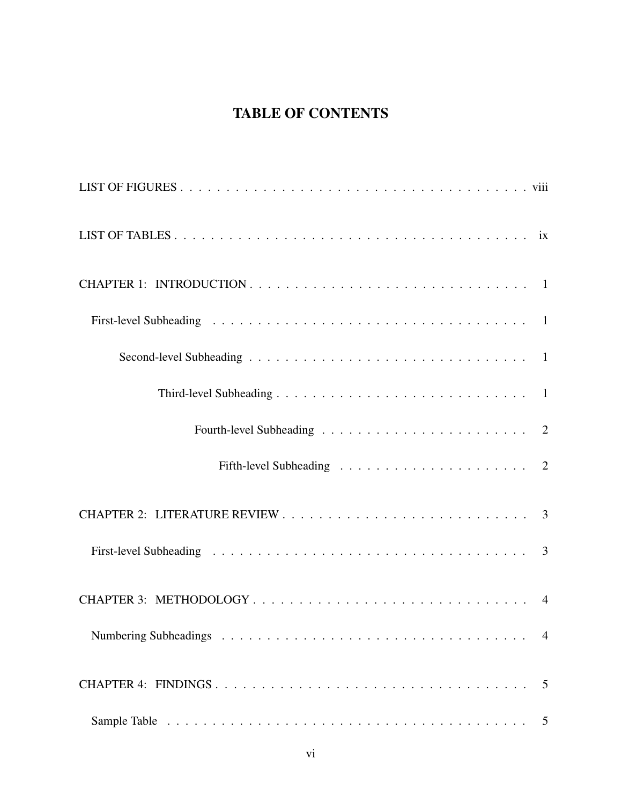# TABLE OF CONTENTS

| $\overline{4}$ |
|----------------|
|                |
|                |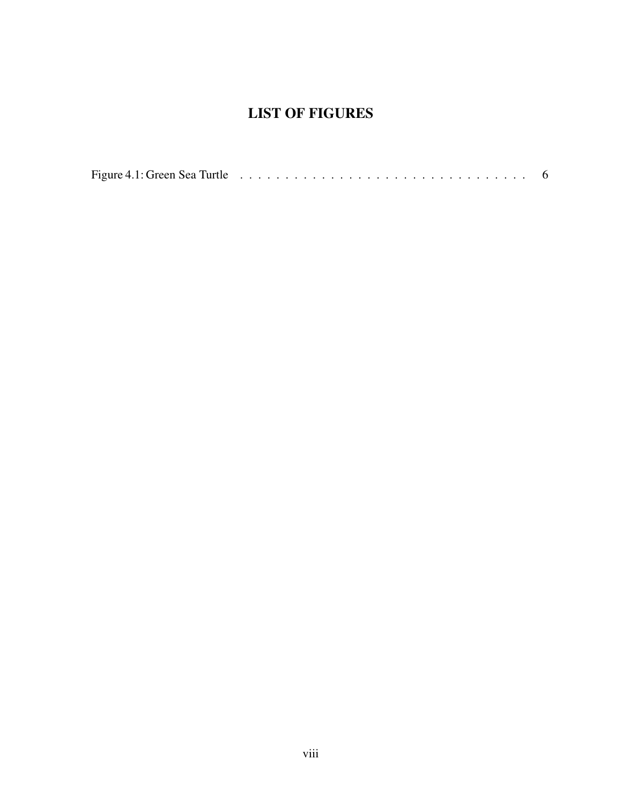## LIST OF FIGURES

<span id="page-7-0"></span>

|  | Figure 4.1: Green Sea Turtle $\ldots \ldots \ldots \ldots \ldots \ldots \ldots \ldots \ldots \ldots \ldots$ |  |
|--|-------------------------------------------------------------------------------------------------------------|--|
|--|-------------------------------------------------------------------------------------------------------------|--|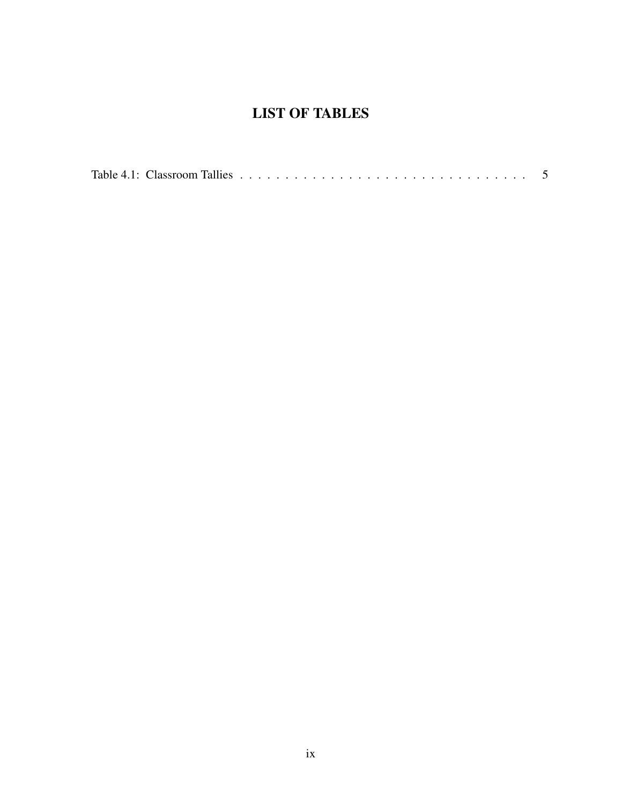## LIST OF TABLES

<span id="page-8-0"></span>

|--|--|--|--|--|--|--|--|--|--|--|--|--|--|--|--|--|--|--|--|--|--|--|--|--|--|--|--|--|--|--|--|--|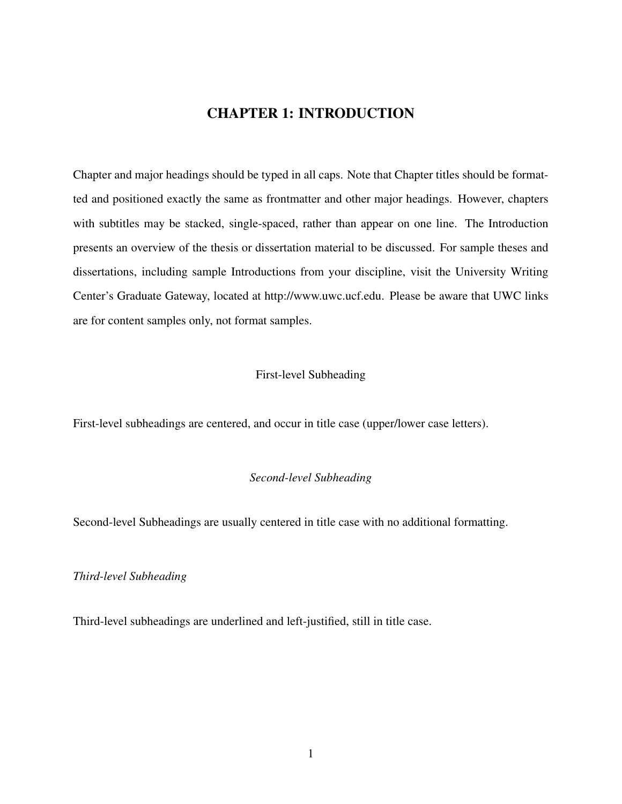## CHAPTER 1: INTRODUCTION

<span id="page-9-0"></span>Chapter and major headings should be typed in all caps. Note that Chapter titles should be formatted and positioned exactly the same as frontmatter and other major headings. However, chapters with subtitles may be stacked, single-spaced, rather than appear on one line. The Introduction presents an overview of the thesis or dissertation material to be discussed. For sample theses and dissertations, including sample Introductions from your discipline, visit the University Writing Center's Graduate Gateway, located at http://www.uwc.ucf.edu. Please be aware that UWC links are for content samples only, not format samples.

#### <span id="page-9-1"></span>First-level Subheading

First-level subheadings are centered, and occur in title case (upper/lower case letters).

#### <span id="page-9-2"></span>*Second-level Subheading*

Second-level Subheadings are usually centered in title case with no additional formatting.

#### <span id="page-9-3"></span>*Third-level Subheading*

Third-level subheadings are underlined and left-justified, still in title case.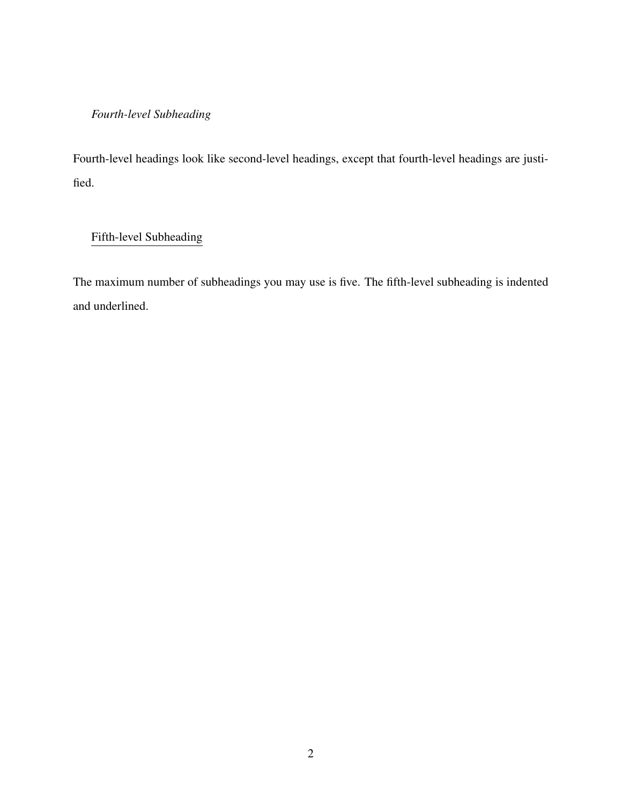### <span id="page-10-0"></span>*Fourth-level Subheading*

Fourth-level headings look like second-level headings, except that fourth-level headings are justified.

### <span id="page-10-1"></span>Fifth-level Subheading

The maximum number of subheadings you may use is five. The fifth-level subheading is indented and underlined.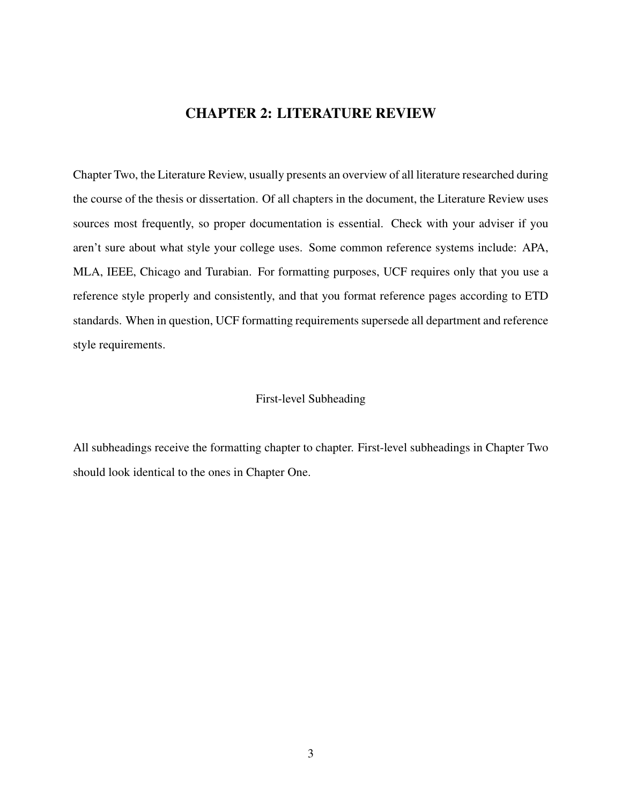## CHAPTER 2: LITERATURE REVIEW

<span id="page-11-0"></span>Chapter Two, the Literature Review, usually presents an overview of all literature researched during the course of the thesis or dissertation. Of all chapters in the document, the Literature Review uses sources most frequently, so proper documentation is essential. Check with your adviser if you aren't sure about what style your college uses. Some common reference systems include: APA, MLA, IEEE, Chicago and Turabian. For formatting purposes, UCF requires only that you use a reference style properly and consistently, and that you format reference pages according to ETD standards. When in question, UCF formatting requirements supersede all department and reference style requirements.

#### <span id="page-11-1"></span>First-level Subheading

All subheadings receive the formatting chapter to chapter. First-level subheadings in Chapter Two should look identical to the ones in Chapter One.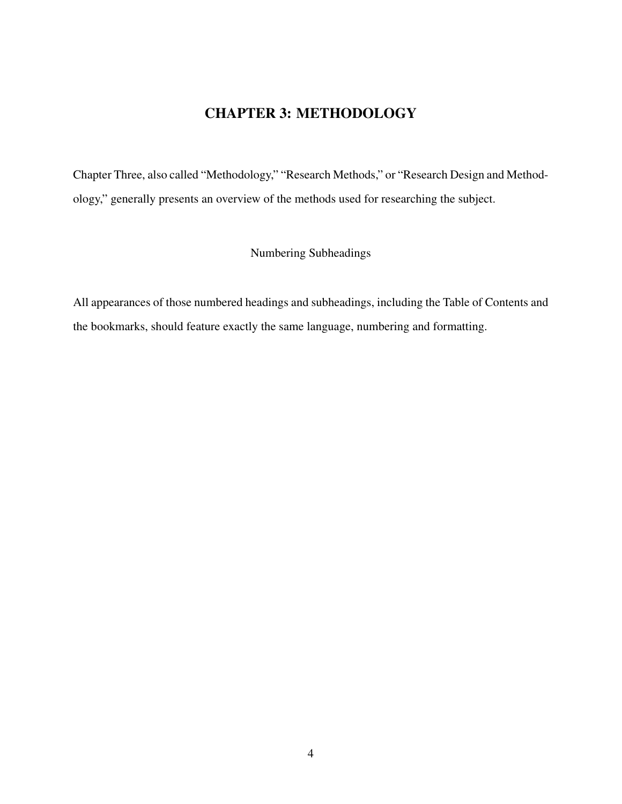## CHAPTER 3: METHODOLOGY

<span id="page-12-0"></span>Chapter Three, also called "Methodology," "Research Methods," or "Research Design and Methodology," generally presents an overview of the methods used for researching the subject.

<span id="page-12-1"></span>Numbering Subheadings

All appearances of those numbered headings and subheadings, including the Table of Contents and the bookmarks, should feature exactly the same language, numbering and formatting.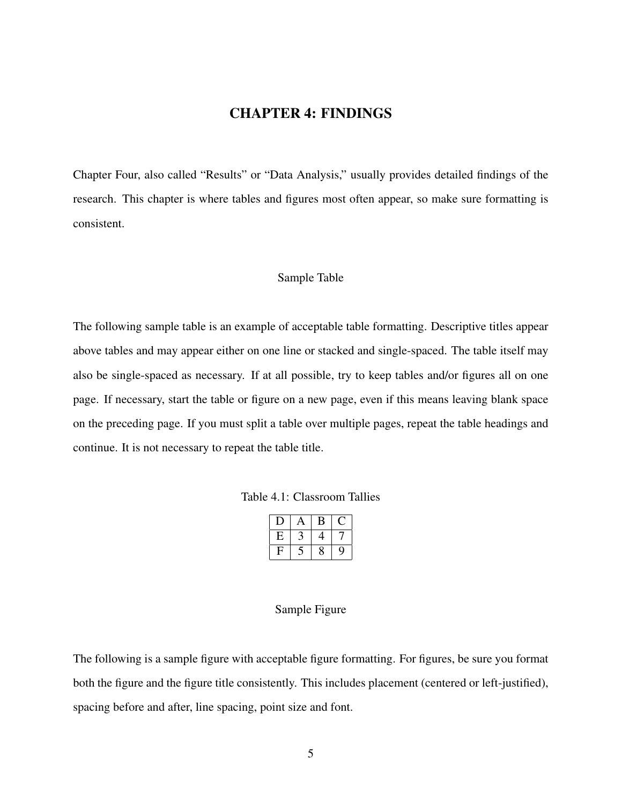### CHAPTER 4: FINDINGS

<span id="page-13-0"></span>Chapter Four, also called "Results" or "Data Analysis," usually provides detailed findings of the research. This chapter is where tables and figures most often appear, so make sure formatting is consistent.

#### <span id="page-13-1"></span>Sample Table

The following sample table is an example of acceptable table formatting. Descriptive titles appear above tables and may appear either on one line or stacked and single-spaced. The table itself may also be single-spaced as necessary. If at all possible, try to keep tables and/or figures all on one page. If necessary, start the table or figure on a new page, even if this means leaving blank space on the preceding page. If you must split a table over multiple pages, repeat the table headings and continue. It is not necessary to repeat the table title.

<span id="page-13-3"></span>

|   | A | в |   |
|---|---|---|---|
| E |   | 4 |   |
| ∟ |   | 8 | Y |

#### <span id="page-13-2"></span>Sample Figure

The following is a sample figure with acceptable figure formatting. For figures, be sure you format both the figure and the figure title consistently. This includes placement (centered or left-justified), spacing before and after, line spacing, point size and font.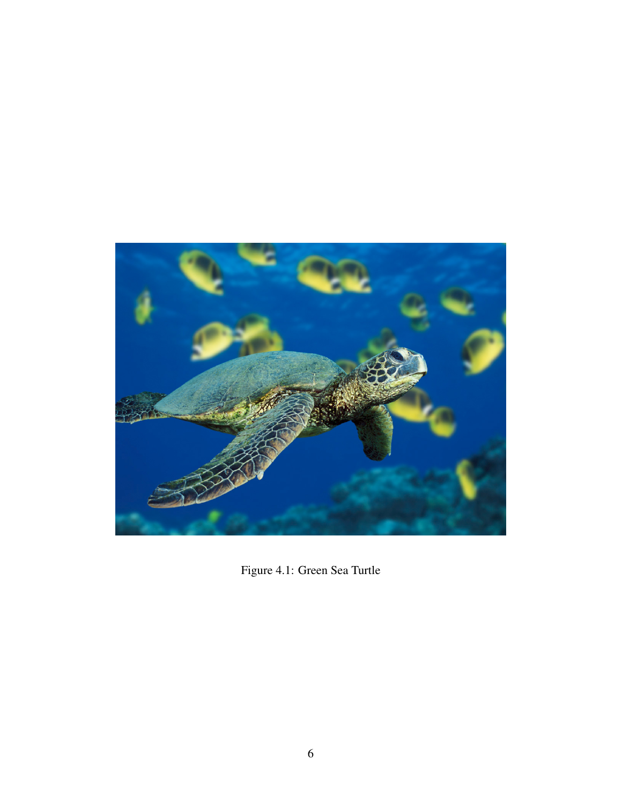<span id="page-14-0"></span>

Figure 4.1: Green Sea Turtle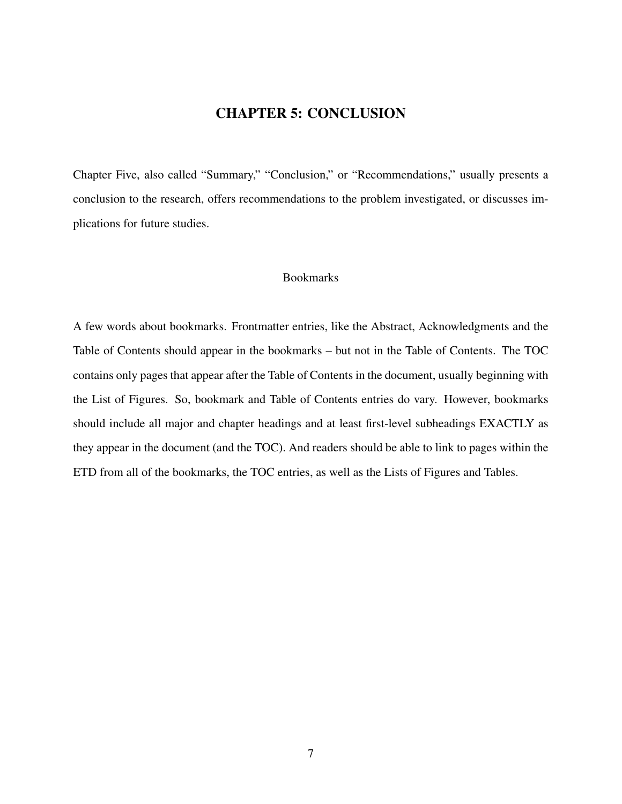### CHAPTER 5: CONCLUSION

<span id="page-15-0"></span>Chapter Five, also called "Summary," "Conclusion," or "Recommendations," usually presents a conclusion to the research, offers recommendations to the problem investigated, or discusses implications for future studies.

#### <span id="page-15-1"></span>Bookmarks

A few words about bookmarks. Frontmatter entries, like the Abstract, Acknowledgments and the Table of Contents should appear in the bookmarks – but not in the Table of Contents. The TOC contains only pages that appear after the Table of Contents in the document, usually beginning with the List of Figures. So, bookmark and Table of Contents entries do vary. However, bookmarks should include all major and chapter headings and at least first-level subheadings EXACTLY as they appear in the document (and the TOC). And readers should be able to link to pages within the ETD from all of the bookmarks, the TOC entries, as well as the Lists of Figures and Tables.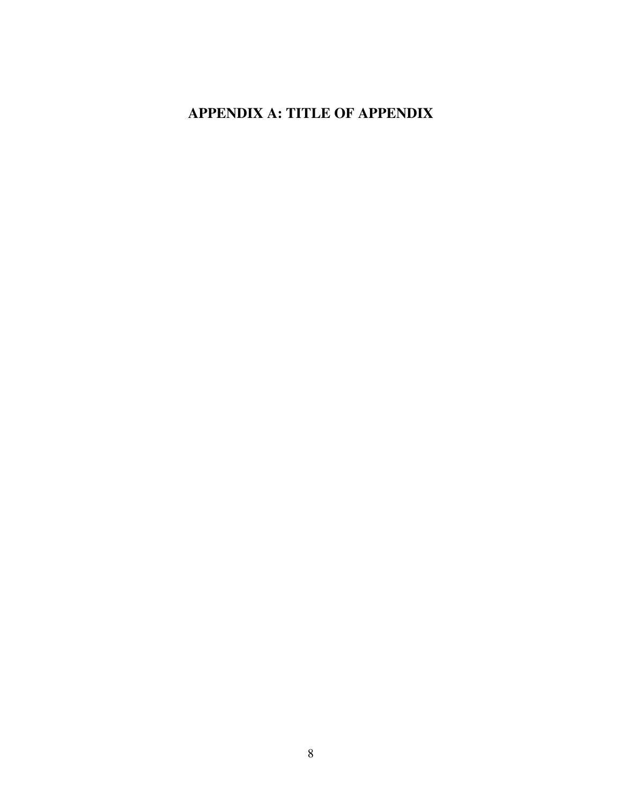## <span id="page-16-0"></span>APPENDIX A: TITLE OF APPENDIX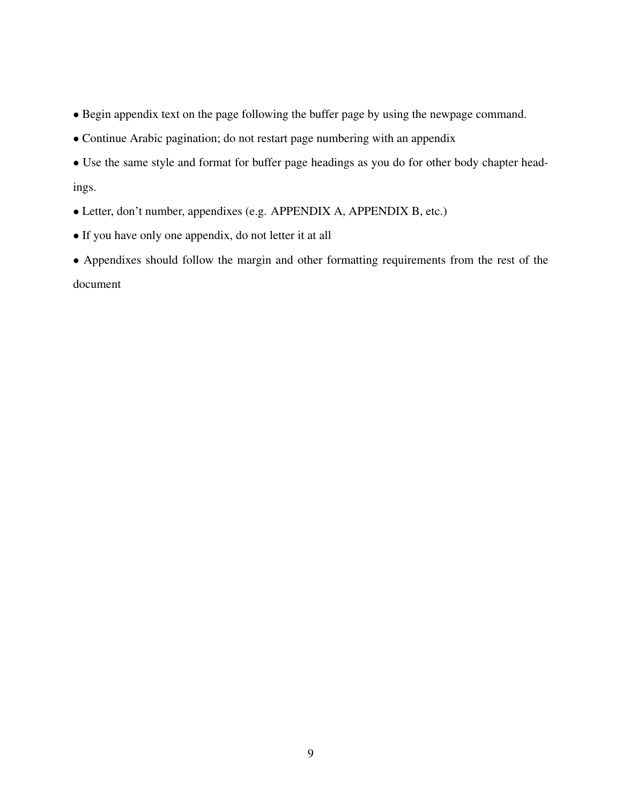- Begin appendix text on the page following the buffer page by using the newpage command.
- Continue Arabic pagination; do not restart page numbering with an appendix

• Use the same style and format for buffer page headings as you do for other body chapter headings.

- Letter, don't number, appendixes (e.g. APPENDIX A, APPENDIX B, etc.)
- If you have only one appendix, do not letter it at all

• Appendixes should follow the margin and other formatting requirements from the rest of the document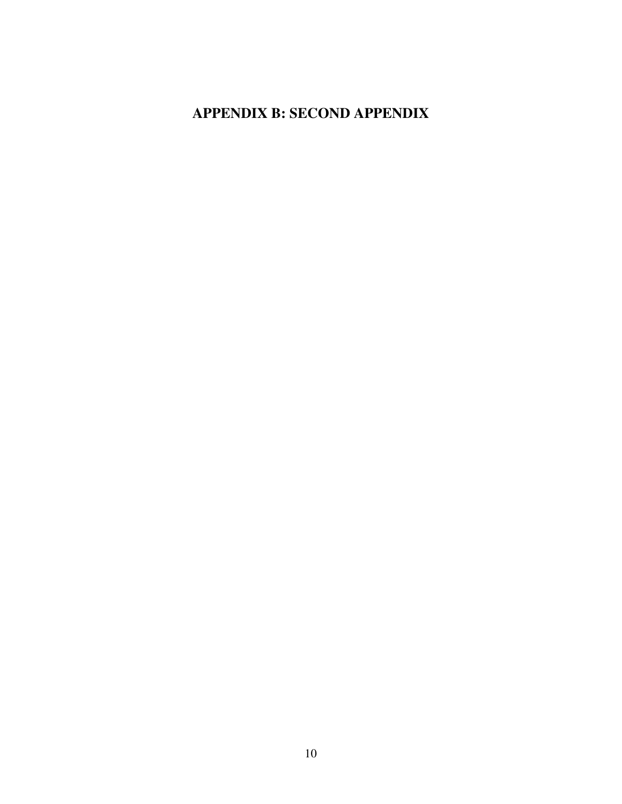## <span id="page-18-0"></span>APPENDIX B: SECOND APPENDIX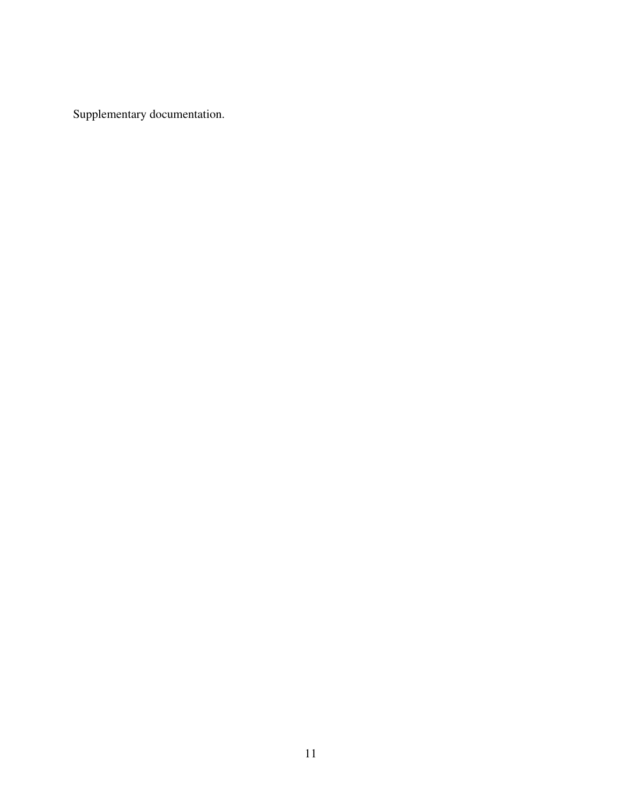Supplementary documentation.